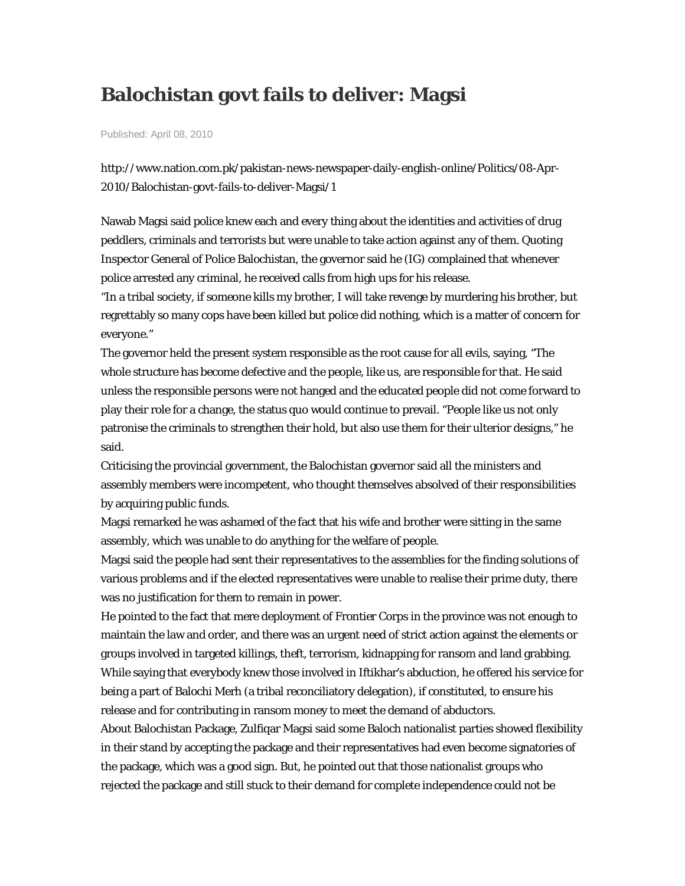## **Balochistan govt fails to deliver: Magsi**

Published: April 08, 2010

http://www.nation.com.pk/pakistan-news-newspaper-daily-english-online/Politics/08-Apr-2010/Balochistan-govt-fails-to-deliver-Magsi/1

Nawab Magsi said police knew each and every thing about the identities and activities of drug peddlers, criminals and terrorists but were unable to take action against any of them. Quoting Inspector General of Police Balochistan, the governor said he (IG) complained that whenever police arrested any criminal, he received calls from high ups for his release.

"In a tribal society, if someone kills my brother, I will take revenge by murdering his brother, but regrettably so many cops have been killed but police did nothing, which is a matter of concern for everyone."

The governor held the present system responsible as the root cause for all evils, saying, "The whole structure has become defective and the people, like us, are responsible for that. He said unless the responsible persons were not hanged and the educated people did not come forward to play their role for a change, the status quo would continue to prevail. "People like us not only patronise the criminals to strengthen their hold, but also use them for their ulterior designs," he said.

Criticising the provincial government, the Balochistan governor said all the ministers and assembly members were incompetent, who thought themselves absolved of their responsibilities by acquiring public funds.

Magsi remarked he was ashamed of the fact that his wife and brother were sitting in the same assembly, which was unable to do anything for the welfare of people.

Magsi said the people had sent their representatives to the assemblies for the finding solutions of various problems and if the elected representatives were unable to realise their prime duty, there was no justification for them to remain in power.

He pointed to the fact that mere deployment of Frontier Corps in the province was not enough to maintain the law and order, and there was an urgent need of strict action against the elements or groups involved in targeted killings, theft, terrorism, kidnapping for ransom and land grabbing. While saying that everybody knew those involved in Iftikhar's abduction, he offered his service for being a part of Balochi Merh (a tribal reconciliatory delegation), if constituted, to ensure his release and for contributing in ransom money to meet the demand of abductors.

About Balochistan Package, Zulfiqar Magsi said some Baloch nationalist parties showed flexibility in their stand by accepting the package and their representatives had even become signatories of the package, which was a good sign. But, he pointed out that those nationalist groups who rejected the package and still stuck to their demand for complete independence could not be